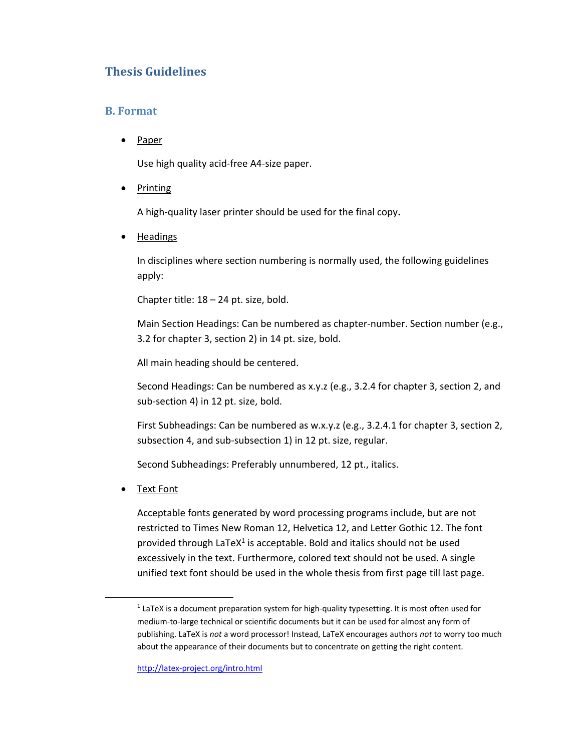## **Thesis Guidelines**

## **B. Format**

Paper

Use high quality acid‐free A4‐size paper.

• Printing

A high‐quality laser printer should be used for the final copy**.** 

Headings

In disciplines where section numbering is normally used, the following guidelines apply:

Chapter title: 18 – 24 pt. size, bold.

Main Section Headings: Can be numbered as chapter-number. Section number (e.g., 3.2 for chapter 3, section 2) in 14 pt. size, bold.

All main heading should be centered.

Second Headings: Can be numbered as x.y.z (e.g., 3.2.4 for chapter 3, section 2, and sub-section 4) in 12 pt. size, bold.

First Subheadings: Can be numbered as w.x.y.z (e.g., 3.2.4.1 for chapter 3, section 2, subsection 4, and sub-subsection 1) in 12 pt. size, regular.

Second Subheadings: Preferably unnumbered, 12 pt., italics.

Text Font

Acceptable fonts generated by word processing programs include, but are not restricted to Times New Roman 12, Helvetica 12, and Letter Gothic 12. The font provided through LaTeX $1$  is acceptable. Bold and italics should not be used excessively in the text. Furthermore, colored text should not be used. A single unified text font should be used in the whole thesis from first page till last page.

 $<sup>1</sup>$  LaTeX is a document preparation system for high-quality typesetting. It is most often used for</sup> medium-to-large technical or scientific documents but it can be used for almost any form of publishing. LaTeX is *not* a word processor! Instead, LaTeX encourages authors *not* to worry too much about the appearance of their documents but to concentrate on getting the right content.